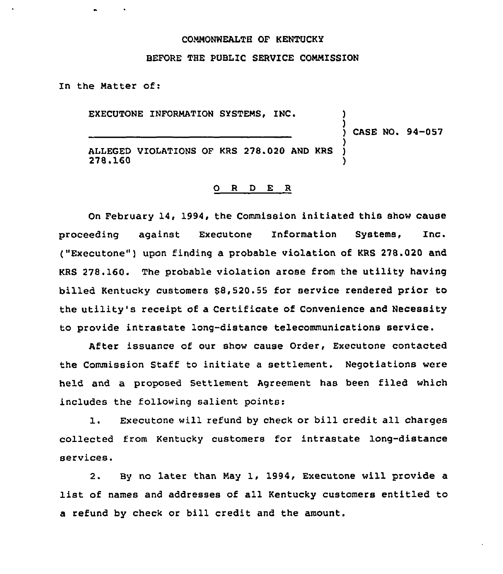# COMMONWEALTH OF KENTUCKY

#### BEFORE THE PUBLIC SERVICE COMMISSION

In the Matter of:

EXECUTONE INFORMATION SYSTEMS, INC.

) CASE NO. 94-057

)

)

ALLEGED VIOLATIONS OF KRS 278.020 AND KRS 278.160 278.160 )

## 0 R <sup>D</sup> E R

On February 14, 1994, the Commission initiated this show cause proceeding against Executone Information Systems, Inc. ("Executone") upon finding a probable violation of KRS 278.020 and KRS 278.160. The probable violation arose from the utility having billed Kentucky customers 88,520.55 for service rendered prior to the utility's receipt of a Certificate of Convenience and Necessity to provide intrastate long-distance telecommunications service.

After issuance of our show cause Order, Executone contacted the Commission Staff to initiate a settlement. Negotiations were held and a proposed Settlement Agreement has been filed which includes the following salient points:

1. Executone will refund by check or bill credit all charges collected from Kentucky customers for intrastate long-distance services.

2. By no later than May 1, 1994, Executone will provide <sup>a</sup> list of names and addresses of all Kentucky customers entitled to a refund by check or bill credit and the amount.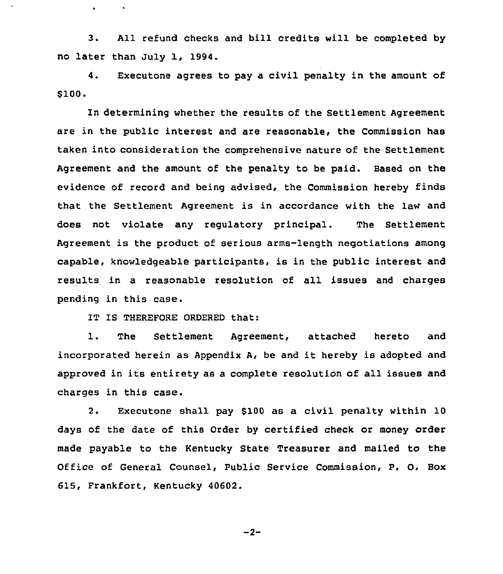3. All refund checks and bill credits will be completed by no later than July 1, 1994.

4. Executone agrees to pay a civil penalty in the amount of \$100.

determining whether the results of the Settlement Agreement are in the public interest and are reasonable, the Commission has taken into consideration the comprehensive nature of the Settlement Agreement and the amount of the penalty to be paid. Based on the evidence of record and being advised, the Commission hereby finds that the Settlement Agreement is in accordance with the law and does not violate any regulatory principal. The Settlement Agreement is the product of serious arms-length negotiations among capable, knowledgeable participants, is in the public interest and results in a reasonable resolution of all issues and charges pending in this case.

IT IS THEREFORE ORDERED that:

 $\bullet$ 

1. The Settlement Agreement, attached hereto and incorporated herein as Appendix A, be and it hereby is adopted and approved in its entirety as a complete resolution of all issues and charges in this case.

2. Executone shall pay 9100 as a civil penalty within 10 days of the date of this Order by certified check or money order made payable to the Kentucky State Treasurer and mailed to the Office of General Counsel, Public Service Commission, P. O. Box 615, Frankfort, Kentucky 40602.

$$
-2-
$$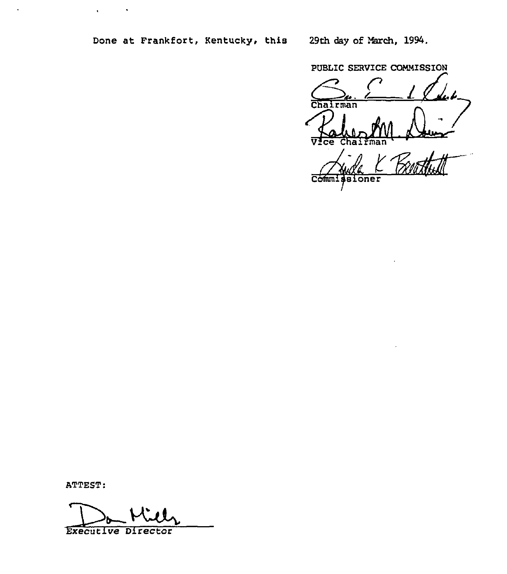$\hat{\boldsymbol{\theta}}$ 

 $\hat{\mathbf{r}}$ 

PUBLIC SERVICE COMMISSION

rman ज  $\overline{\mathbf{c}\mathbf{e}}$ Chai fman

**Comm** oner

ATTEST:

 $\ddot{\phantom{a}}$ 

ATTEST:<br>Executive Director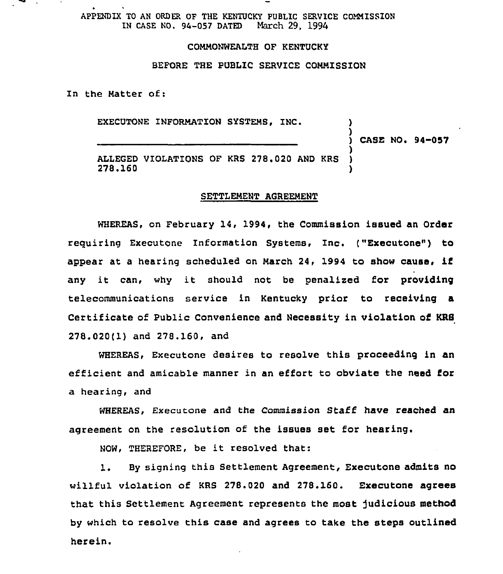APPENDIX TO AN ORDER OF THE KENTUCKY PUBLIC SERVICE COMMISSION<br>IN CASE NO. 94-057 DATED March 29, 1994 IN CASE NO.  $94-057$  DATED

## COMMONWEALTH OF KENTUCKY

# BEFORE THE PUBLIC SERVICE COMMISSION

In the Matter of:

EXECUTONE INFORMATION SYSTEMS, INC.

)<br>) Case no. 94–057

)

ALLEGED VIOLATIONS OF KRS 278.020 AND KRS<br>278.160 278.160 )

#### SETTLEMENT AGREEMENT

WHEREAS, on February 14, 1994, the Commission issued an Order requiring ExecutOne Information Systems, Inc. ("Executone") to appear at <sup>a</sup> hearing scheduled on March 24, <sup>1994</sup> to show cause, if any it can, why it should not be penalized for providing telecommunications service in Kentucky prior to receiving a Certificate of Public Convenience and Necessity in violation of KRS 278.020(1) and 278.160, and

WHEREAS, Executone desires to resolve this proceeding in an efficient and amicable manner in an effort to obviate the need for a hearing, and

WHEREAS, Executone and the Commission Staff have reached an agreement on the resolution of the issues set for hearing.

NOW, THEREFORE, be it resolved that:

1. By signing this Settlement Agreement, Executone admits no willful violation of KRS 278.020 and 278.160. Executone agrees that this Settlement Agreement represents the most judicious method by which to resolve this case and agrees to take the steps outlined herein.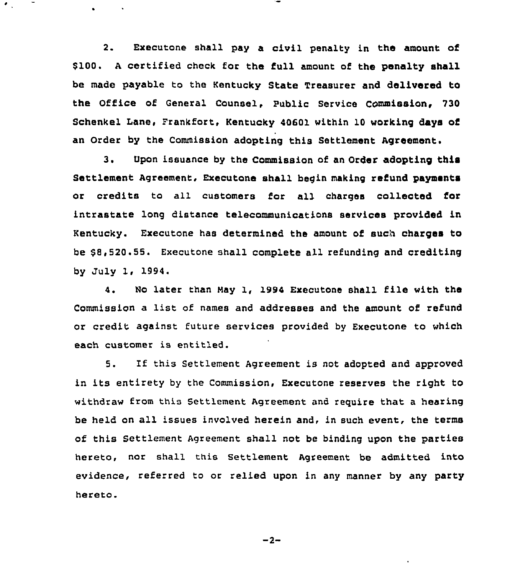2. Executone shall pay a civil penalty in the amount of \$100. <sup>A</sup> certified check for the full amount of the penalty shall be made payable to the Kentucky State Treasurer and delivered to the Office of General Counsel, Public Service COmmission, 730 Schenkel Lane, Frankfort, Kentucky 40601 within 10 working days of an Order by the Commission adopting this Settlement Agreement.

3. Upon issuance by the Commission of an Order adopting this Settlement Agreement, Executone shall begin making refund payments or credits to all customers for all charges collected for intrastate long distance telecommunications services provided in Kentucky. Executone has determined the amount of such charges to be 88,520.55. Executone shall complete all refunding and crediting by July 1, 1994.

4. No later than Nay 1, 1994 Executone shall file with the Commission a list of names and addresses and the amount of refund or credit against future services provided by Executone to which each customer is entitled.

5. If this Settlement Agreement is not adopted and approved in its entirety by the Commission, Executone reserves the right to withdraw from this Settlement Agreement and require that a hearing be held on all issues involved herein and, in such event, the terms of this Settlement Agreement shall not be binding upon the parties hereto, nor shall this settlement Agreement be admitted into evidence, referred to or relied upon in any manner by any party hereto.

 $-2-$